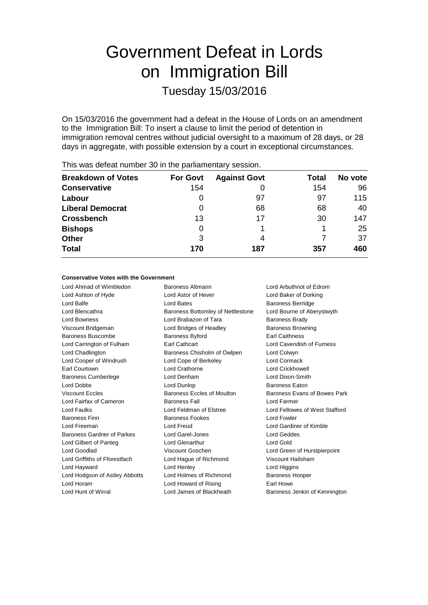# Government Defeat in Lords on Immigration Bill Tuesday 15/03/2016

On 15/03/2016 the government had a defeat in the House of Lords on an amendment to the Immigration Bill: To insert a clause to limit the period of detention in immigration removal centres without judicial oversight to a maximum of 28 days, or 28 days in aggregate, with possible extension by a court in exceptional circumstances.

|                 | ◢                   |       |         |
|-----------------|---------------------|-------|---------|
| <b>For Govt</b> | <b>Against Govt</b> | Total | No vote |
| 154             |                     | 154   | 96      |
| O               | 97                  | 97    | 115     |
| O               | 68                  | 68    | 40      |
| 13              | 17                  | 30    | 147     |
| O               |                     |       | 25      |
| 3               | 4                   |       | 37      |
| 170             | 187                 | 357   | 460     |
|                 |                     |       |         |

This was defeat number 30 in the parliamentary session.

## **Conservative Votes with the Government**

Lord Ahmad of Wimbledon Baroness Altmann Lord Arbuthnot of Edrom Lord Ashton of Hyde Lord Astor of Hever Lord Baker of Dorking Lord Balfe **Lord Bates** Lord Bates **Baroness Berridge** Lord Blencathra **Baroness Bottomley of Nettlestone** Lord Bourne of Aberystwyth Lord Bowness **Lord Brabazon of Tara** Baroness Brady Viscount Bridgeman Lord Bridges of Headley Baroness Browning Baroness Buscombe **Baroness Byford** Earl Caithness Lord Carrington of Fulham Earl Cathcart Lord Cavendish of Furness Lord Chadlington Baroness Chisholm of Owlpen Lord Colwyn Lord Cooper of Windrush Lord Cope of Berkeley Lord Cormack Earl Courtown Lord Crathorne Lord Crickhowell Baroness Cumberlege Lord Denham Lord Dixon-Smith Lord Dobbs Lord Dunlop Baroness Eaton Viscount Eccles **Baroness Eccles of Moulton** Baroness Evans of Bowes Park Lord Fairfax of Cameron Baroness Fall Lord Farmer Lord Faulks Lord Feldman of Elstree Lord Fellowes of West Stafford Baroness Finn **Baroness Fookes** Lord Fowler Lord Freeman Lord Freud Lord Gardiner of Kimble Baroness Gardner of Parkes Lord Garel-Jones Lord Geddes Lord Gilbert of Panteg Lord Glenarthur Lord Gold Lord Goodlad Viscount Goschen Lord Green of Hurstpierpoint Lord Griffiths of Fforestfach Lord Hague of Richmond Viscount Hailsham Lord Hayward Lord Henley Lord Higgins Lord Hodgson of Astley Abbotts Lord Holmes of Richmond Baroness Hooper Lord Horam **Lord Howard of Rising Farl Howe** Lord Hunt of Wirral **Lord James of Blackheath** Baroness Jenkin of Kennington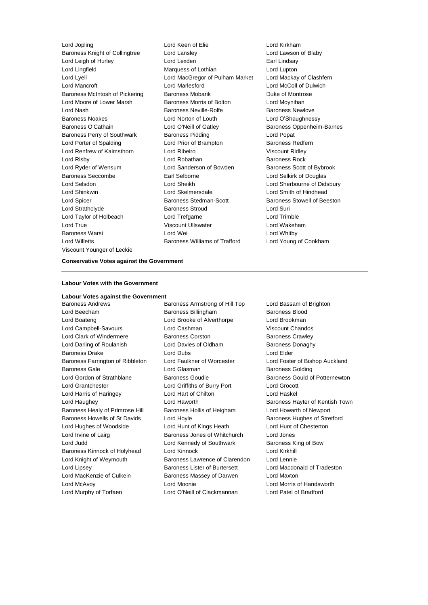Baroness Knight of Collingtree Lord Lansley Lord Lawson of Blaby Lord Leigh of Hurley Lord Lexden Earl Lindsay Lord Lingfield **Marquess of Lothian** Lord Lupton Lord Lyell Lord MacGregor of Pulham Market Lord Mackay of Clashfern Lord Mancroft Lord Marlesford Lord McColl of Dulwich Baroness McIntosh of Pickering Baroness Mobarik Baroness Mobarick Duke of Montrose Lord Moore of Lower Marsh Baroness Morris of Bolton Cord Moynihan Lord Nash Baroness Neville-Rolfe Baroness Newlove Baroness Noakes Lord Norton of Louth Lord O'Shaughnessy Baroness O'Cathain **Lord O'Neill of Gatley** Baroness Oppenheim-Barnes Baroness Perry of Southwark Baroness Pidding Baroness Post Lord Porter of Spalding **Lord Prior of Brampton** Baroness Redfern Lord Renfrew of Kaimsthorn Lord Ribeiro Viscount Ridley Lord Risby **Lord Robathan** Baroness Rock Lord Ryder of Wensum **Lord Sanderson of Bowden** Baroness Scott of Bybrook Baroness Seccombe Earl Selborne Lord Selkirk of Douglas Lord Selsdon Lord Sheikh Lord Sherbourne of Didsbury Lord Shinkwin Lord Skelmersdale Lord Smith of Hindhead Lord Spicer **Baroness Stedman-Scott** Baroness Stowell of Beeston Lord Strathclyde Baroness Stroud Lord Suri Lord Taylor of Holbeach Lord Trefgarne Lord Trimble Lord True Viscount Ullswater Lord Wakeham Baroness Warsi Lord Wei Lord Whitby Lord Willetts Baroness Williams of Trafford Lord Young of Cookham Viscount Younger of Leckie

Lord Jopling Lord Keen of Elie Lord Kirkham

#### **Conservative Votes against the Government**

#### **Labour Votes with the Government**

**Labour Votes against the Government**

Baroness Andrews **Baroness Armstrong of Hill Top** Lord Bassam of Brighton Lord Beecham Baroness Billingham Baroness Blood Lord Boateng Lord Brooke of Alverthorpe Lord Brookman Lord Campbell-Savours Lord Cashman Viscount Chandos Lord Clark of Windermere Baroness Corston Baroness Crawley Lord Darling of Roulanish Lord Davies of Oldham Baroness Donaghy Baroness Drake Lord Dubs Lord Elder Baroness Farrington of Ribbleton Lord Faulkner of Worcester Lord Foster of Bishop Auckland Baroness Gale **Communist Contract Contract Contract Contract Contract Contract Contract Contract Contract Contract Contract Contract Contract Contract Contract Contract Contract Contract Contract Contract Contract Contract** Lord Gordon of Strathblane **Baroness Goudie** Baroness Gould of Potternewton Lord Grantchester Lord Griffiths of Burry Port Lord Grocott Lord Harris of Haringey Lord Hart of Chilton Lord Haskel Lord Haughey **Lord Haworth Baroness Hayter of Kentish Town** Baroness Healy of Primrose Hill Baroness Hollis of Heigham Lord Howarth of Newport Baroness Howells of St Davids Lord Hoyle **Baroness Hughes of Stretford** Lord Hughes of Woodside Lord Hunt of Kings Heath Lord Hunt of Chesterton Lord Irvine of Lairg Baroness Jones of Whitchurch Lord Jones Lord Judd **Lord Kennedy of Southwark** Baroness King of Bow Baroness Kinnock of Holyhead Lord Kinnock Lord Kirkhill Lord Knight of Weymouth Baroness Lawrence of Clarendon Lord Lennie Lord Lipsey Baroness Lister of Burtersett Lord Macdonald of Tradeston Lord MacKenzie of Culkein **Baroness Massey of Darwen** Lord Maxton Lord McAvoy Lord Moonie Lord Morris of Handsworth Lord Murphy of Torfaen Lord O'Neill of Clackmannan Lord Patel of Bradford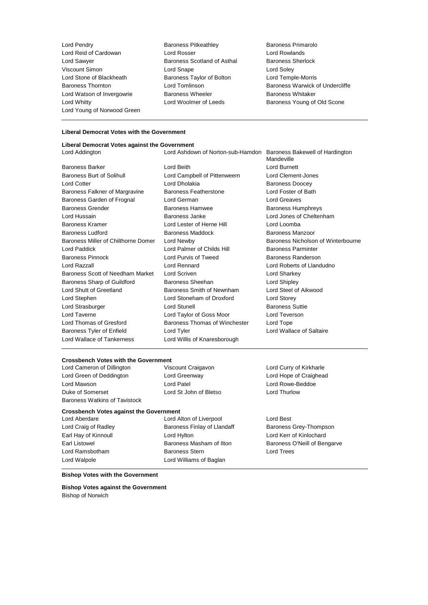Lord Pendry Baroness Pitkeathley Baroness Primarolo Lord Reid of Cardowan Lord Rosser Lord Rowlands Lord Sawyer Baroness Scotland of Asthal Baroness Sherlock Viscount Simon **Lord Snape** Lord Snape **Lord Soley** Lord Stone of Blackheath **Baroness Taylor of Bolton Lord Temple-Morris** Lord Watson of Invergowrie **Baroness Wheeler** Baroness Wheeler Baroness Whitaker Lord Whitty **Lord Woolmer of Leeds** Baroness Young of Old Scone Lord Young of Norwood Green

- 
- Baroness Thornton **Baroness Thornton** Lord Tomlinson **Baroness Warwick of Undercliffe**

#### **Liberal Democrat Votes with the Government**

# **Liberal Democrat Votes against the Government**

Lord Addington Lord Ashdown of Norton-sub-Hamdon Baroness Bakewell of Hardington Mandeville Baroness Barker Lord Beith Lord Burnett Baroness Burt of Solihull Lord Campbell of Pittenweem Lord Clement-Jones Lord Cotter **Lord Dholakia** Baroness Doocey Baroness Falkner of Margravine Baroness Featherstone Lord Foster of Bath Baroness Garden of Frognal Lord German Lord Greaves Baroness Grender Baroness Hamwee Baroness Humphreys Lord Hussain Baroness Janke Lord Jones of Cheltenham Baroness Kramer Lord Lester of Herne Hill Lord Loomba Baroness Ludford Baroness Maddock Baroness Manzoor Baroness Miller of Chilthorne Domer Lord Newby **Baroness Nicholson of Winterbourne** Lord Paddick **Lord Palmer of Childs Hill Baroness Parminter** Baroness Pinnock **Lord Purvis of Tweed** Baroness Randerson Lord Razzall Lord Rennard Lord Roberts of Llandudno Baroness Scott of Needham Market Lord Scriven Lord Correspondent Lord Sharkey Baroness Sharp of Guildford Baroness Sheehan Lord Shipley Lord Shutt of Greetland **Baroness Smith of Newnham** Lord Steel of Aikwood Lord Stephen Lord Stoneham of Droxford Lord Storey Lord Strasburger **Lord Stunell** Lord Stunell **Baroness** Suttie Lord Taverne Lord Taylor of Goss Moor Lord Teverson Lord Thomas of Gresford Baroness Thomas of Winchester Lord Tope Baroness Tyler of Enfield **Lord Tyler** Lord Tyler Lord Wallace of Saltaire Lord Wallace of Tankerness **Lord Willis of Knaresborough** 

# **Crossbench Votes with the Government**<br>
Lord Cameron of Dillington<br>
Viscount Craigavon

Lord Cameron of Dillington Viscount Craigavon Lord Curry of Kirkharle Lord Green of Deddington Lord Greenway Lord Hope of Craighead Lord Mawson Lord Patel Lord Rowe-Beddoe Duke of Somerset Lord St John of Bletso Lord Thurlow Baroness Watkins of Tavistock

# **Crossbench Votes against the Government**

Lord Aberdare Lord Alton of Liverpool Lord Best Lord Craig of Radley **Baroness Finlay of Llandaff** Baroness Grey-Thompson Earl Hay of Kinnoull Lord Hylton Lord Kerr of Kinlochard Earl Listowel Baroness Masham of Ilton Baroness O'Neill of Bengarve Lord Ramsbotham Baroness Stern Lord Trees Lord Walpole **Lord Williams** of Baglan

## **Bishop Votes with the Government**

**Bishop Votes against the Government** Bishop of Norwich